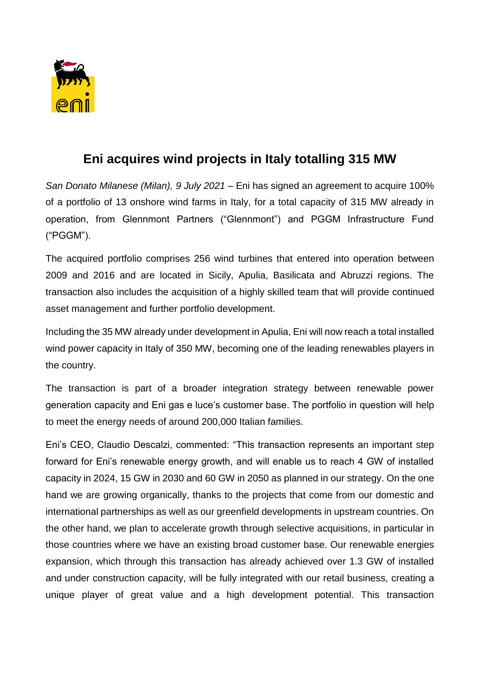

## **Eni acquires wind projects in Italy totalling 315 MW**

*San Donato Milanese (Milan), 9 July 2021* – Eni has signed an agreement to acquire 100% of a portfolio of 13 onshore wind farms in Italy, for a total capacity of 315 MW already in operation, from Glennmont Partners ("Glennmont") and PGGM Infrastructure Fund ("PGGM").

The acquired portfolio comprises 256 wind turbines that entered into operation between 2009 and 2016 and are located in Sicily, Apulia, Basilicata and Abruzzi regions. The transaction also includes the acquisition of a highly skilled team that will provide continued asset management and further portfolio development.

Including the 35 MW already under development in Apulia, Eni will now reach a total installed wind power capacity in Italy of 350 MW, becoming one of the leading renewables players in the country.

The transaction is part of a broader integration strategy between renewable power generation capacity and Eni gas e luce's customer base. The portfolio in question will help to meet the energy needs of around 200,000 Italian families.

Eni's CEO, Claudio Descalzi, commented: "This transaction represents an important step forward for Eni's renewable energy growth, and will enable us to reach 4 GW of installed capacity in 2024, 15 GW in 2030 and 60 GW in 2050 as planned in our strategy. On the one hand we are growing organically, thanks to the projects that come from our domestic and international partnerships as well as our greenfield developments in upstream countries. On the other hand, we plan to accelerate growth through selective acquisitions, in particular in those countries where we have an existing broad customer base. Our renewable energies expansion, which through this transaction has already achieved over 1.3 GW of installed and under construction capacity, will be fully integrated with our retail business, creating a unique player of great value and a high development potential. This transaction